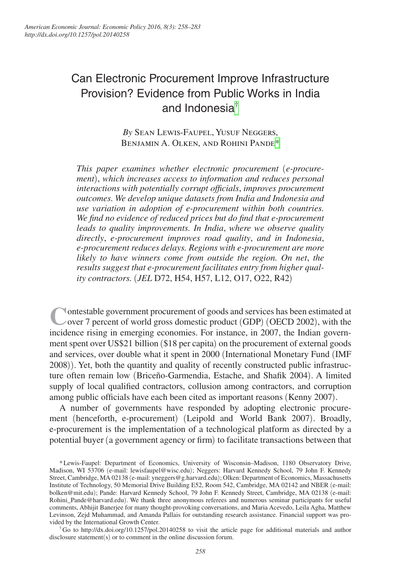# Can Electronic Procurement Improve Infrastructure Provision? Evidence from Public Works in India and Indonesia[†](#page-0-0)

*By* Sean Lewis-Faupel, Yusuf Neggers, Benjamin A. Olken, and Rohini Pande[\\*](#page-0-1)

*This paper examines whether electronic procurement* (*e-procurement*), *which increases access to information and reduces personal interactions with potentially corrupt officials*, *improves procurement outcomes. We develop unique datasets from India and Indonesia and use variation in adoption of e-procurement within both countries. We find no evidence of reduced prices but do find that e-procurement leads to quality improvements. In India*, *where we observe quality directly*, *e-procurement improves road quality*, *and in Indonesia*, *e-procurement reduces delays. Regions with e-procurement are more likely to have winners come from outside the region. On net*, *the results suggest that e-procurement facilitates entry from higher quality contractors.* (*JEL* D72, H54, H57, L12, O17, O22, R42)

Contestable government procurement of goods and services has been estimated at over 7 percent of world gross domestic product (GDP) (OECD 2002), with the incidence rising in emerging economies. For instance, in 2007, the Indian government spent over US\$21 billion (\$18 per capita) on the procurement of external goods and services, over double what it spent in 2000 (International Monetary Fund (IMF 2008)). Yet, both the quantity and quality of recently constructed public infrastructure often remain low (Briceño-Garmendia, Estache, and Shafik 2004). A limited supply of local qualified contractors, collusion among contractors, and corruption among public officials have each been cited as important reasons (Kenny 2007).

A number of governments have responded by adopting electronic procurement (henceforth, e-procurement) (Leipold and World Bank 2007). Broadly, e-procurement is the implementation of a technological platform as directed by a potential buyer (a government agency or firm) to facilitate transactions between that

<span id="page-0-0"></span>†Go to <http://dx.doi.org/10.1257/pol.20140258> to visit the article page for additional materials and author disclosure statement(s) or to comment in the online discussion forum.

<span id="page-0-1"></span><sup>\*</sup>Lewis-Faupel: Department of Economics, University of Wisconsin–Madison, 1180 Observatory Drive, Madison, WI 53706 (e-mail: [lewisfaupel@wisc.edu](mailto:lewisfaupel@wisc.edu)); Neggers: Harvard Kennedy School, 79 John F. Kennedy Street, Cambridge, MA 02138 (e-mail: [yneggers@g.harvard.edu](mailto:yneggers@g.harvard.edu)); Olken: Department of Economics, Massachusetts Institute of Technology, 50 Memorial Drive Building E52, Room 542, Cambridge, MA 02142 and NBER (e-mail: [bolken@mit.edu](mailto:bolken@mit.edu)); Pande: Harvard Kennedy School, 79 John F. Kennedy Street, Cambridge, MA 02138 (e-mail: [Rohini\\_Pande@harvard.edu](mailto:Rohini_Pande@harvard.edu)). We thank three anonymous referees and numerous seminar participants for useful comments, Abhijit Banerjee for many thought-provoking conversations, and Maria Acevedo, Leila Agha, Matthew Levinson, Zejd Muhammad, and Amanda Pallais for outstanding research assistance. Financial support was provided by the International Growth Center.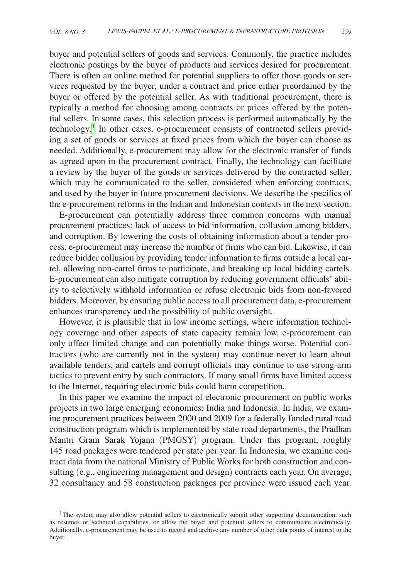buyer and potential sellers of goods and services. Commonly, the practice includes electronic postings by the buyer of products and services desired for procurement. There is often an online method for potential suppliers to offer those goods or services requested by the buyer, under a contract and price either preordained by the buyer or offered by the potential seller. As with traditional procurement, there is typically a method for choosing among contracts or prices offered by the potential sellers. In some cases, this selection process is performed automatically by the technology.<sup>[1](#page-1-0)</sup> In other cases, e-procurement consists of contracted sellers providing a set of goods or services at fixed prices from which the buyer can choose as needed. Additionally, e-procurement may allow for the electronic transfer of funds as agreed upon in the procurement contract. Finally, the technology can facilitate a review by the buyer of the goods or services delivered by the contracted seller, which may be communicated to the seller, considered when enforcing contracts, and used by the buyer in future procurement decisions. We describe the specifics of the e-procurement reforms in the Indian and Indonesian contexts in the next section.

E-procurement can potentially address three common concerns with manual procurement practices: lack of access to bid information, collusion among bidders, and corruption. By lowering the costs of obtaining information about a tender process, e-procurement may increase the number of firms who can bid. Likewise, it can reduce bidder collusion by providing tender information to firms outside a local cartel, allowing non-cartel firms to participate, and breaking up local bidding cartels. E-procurement can also mitigate corruption by reducing government officials' ability to selectively withhold information or refuse electronic bids from non-favored bidders. Moreover, by ensuring public access to all procurement data, e-procurement enhances transparency and the possibility of public oversight.

However, it is plausible that in low income settings, where information technology coverage and other aspects of state capacity remain low, e-procurement can only affect limited change and can potentially make things worse. Potential contractors (who are currently not in the system) may continue never to learn about available tenders, and cartels and corrupt officials may continue to use strong-arm tactics to prevent entry by such contractors. If many small firms have limited access to the Internet, requiring electronic bids could harm competition.

In this paper we examine the impact of electronic procurement on public works projects in two large emerging economies: India and Indonesia. In India, we examine procurement practices between 2000 and 2009 for a federally funded rural road construction program which is implemented by state road departments, the Pradhan Mantri Gram Sarak Yojana (PMGSY) program. Under this program, roughly 145 road packages were tendered per state per year. In Indonesia, we examine contract data from the national Ministry of Public Works for both construction and consulting (e.g., engineering management and design) contracts each year. On average, 32 consultancy and 58 construction packages per province were issued each year.

<span id="page-1-0"></span><sup>&</sup>lt;sup>1</sup>The system may also allow potential sellers to electronically submit other supporting documentation, such as resumes or technical capabilities, or allow the buyer and potential sellers to communicate electronically. Additionally, e-procurement may be used to record and archive any number of other data points of interest to the buyer.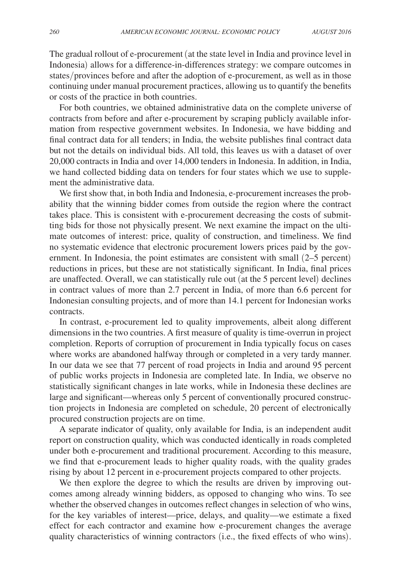The gradual rollout of e-procurement (at the state level in India and province level in Indonesia) allows for a difference-in-differences strategy: we compare outcomes in states/provinces before and after the adoption of e-procurement, as well as in those continuing under manual procurement practices, allowing us to quantify the benefits or costs of the practice in both countries.

For both countries, we obtained administrative data on the complete universe of contracts from before and after e-procurement by scraping publicly available information from respective government websites. In Indonesia, we have bidding and final contract data for all tenders; in India, the website publishes final contract data but not the details on individual bids. All told, this leaves us with a dataset of over 20,000 contracts in India and over 14,000 tenders in Indonesia. In addition, in India, we hand collected bidding data on tenders for four states which we use to supplement the administrative data.

We first show that, in both India and Indonesia, e-procurement increases the probability that the winning bidder comes from outside the region where the contract takes place. This is consistent with e-procurement decreasing the costs of submitting bids for those not physically present. We next examine the impact on the ultimate outcomes of interest: price, quality of construction, and timeliness. We find no systematic evidence that electronic procurement lowers prices paid by the government. In Indonesia, the point estimates are consistent with small (2–5 percent) reductions in prices, but these are not statistically significant. In India, final prices are unaffected. Overall, we can statistically rule out (at the 5 percent level) declines in contract values of more than 2.7 percent in India, of more than 6.6 percent for Indonesian consulting projects, and of more than 14.1 percent for Indonesian works contracts.

In contrast, e-procurement led to quality improvements, albeit along different dimensions in the two countries. A first measure of quality is time-overrun in project completion. Reports of corruption of procurement in India typically focus on cases where works are abandoned halfway through or completed in a very tardy manner. In our data we see that 77 percent of road projects in India and around 95 percent of public works projects in Indonesia are completed late. In India, we observe no statistically significant changes in late works, while in Indonesia these declines are large and significant—whereas only 5 percent of conventionally procured construction projects in Indonesia are completed on schedule, 20 percent of electronically procured construction projects are on time.

A separate indicator of quality, only available for India, is an independent audit report on construction quality, which was conducted identically in roads completed under both e-procurement and traditional procurement. According to this measure, we find that e-procurement leads to higher quality roads, with the quality grades rising by about 12 percent in e-procurement projects compared to other projects.

We then explore the degree to which the results are driven by improving outcomes among already winning bidders, as opposed to changing who wins. To see whether the observed changes in outcomes reflect changes in selection of who wins, for the key variables of interest—price, delays, and quality—we estimate a fixed effect for each contractor and examine how e-procurement changes the average quality characteristics of winning contractors (i.e., the fixed effects of who wins).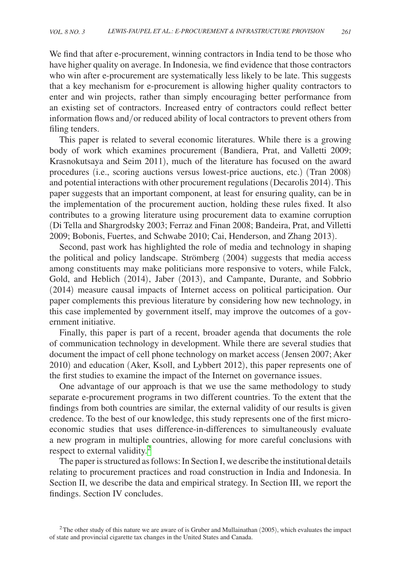We find that after e-procurement, winning contractors in India tend to be those who have higher quality on average. In Indonesia, we find evidence that those contractors who win after e-procurement are systematically less likely to be late. This suggests that a key mechanism for e-procurement is allowing higher quality contractors to enter and win projects, rather than simply encouraging better performance from an existing set of contractors. Increased entry of contractors could reflect better information flows and/or reduced ability of local contractors to prevent others from filing tenders.

This paper is related to several economic literatures. While there is a growing body of work which examines procurement (Bandiera, Prat, and Valletti 2009; Krasnokutsaya and Seim 2011), much of the literature has focused on the award procedures (i.e., scoring auctions versus lowest-price auctions, etc.) (Tran 2008) and potential interactions with other procurement regulations (Decarolis 2014). This paper suggests that an important component, at least for ensuring quality, can be in the implementation of the procurement auction, holding these rules fixed. It also contributes to a growing literature using procurement data to examine corruption (Di Tella and Shargrodsky 2003; Ferraz and Finan 2008; Bandeira, Prat, and Villetti 2009; Bobonis, Fuertes, and Schwabe 2010; Cai, Henderson, and Zhang 2013).

Second, past work has highlighted the role of media and technology in shaping the political and policy landscape. Strömberg (2004) suggests that media access among constituents may make politicians more responsive to voters, while Falck, Gold, and Heblich (2014), Jaber (2013), and Campante, Durante, and Sobbrio (2014) measure causal impacts of Internet access on political participation. Our paper complements this previous literature by considering how new technology, in this case implemented by government itself, may improve the outcomes of a government initiative.

Finally, this paper is part of a recent, broader agenda that documents the role of communication technology in development. While there are several studies that document the impact of cell phone technology on market access (Jensen 2007; Aker 2010) and education (Aker, Ksoll, and Lybbert 2012), this paper represents one of the first studies to examine the impact of the Internet on governance issues.

One advantage of our approach is that we use the same methodology to study separate e-procurement programs in two different countries. To the extent that the findings from both countries are similar, the external validity of our results is given credence. To the best of our knowledge, this study represents one of the first microeconomic studies that uses difference-in-differences to simultaneously evaluate a new program in multiple countries, allowing for more careful conclusions with respect to external validity.<sup>[2](#page-3-0)</sup>

The paper is structured as follows: In Section I, we describe the institutional details relating to procurement practices and road construction in India and Indonesia. In Section II, we describe the data and empirical strategy. In Section III, we report the findings. Section IV concludes.

<span id="page-3-0"></span> $2$ The other study of this nature we are aware of is Gruber and Mullainathan (2005), which evaluates the impact of state and provincial cigarette tax changes in the United States and Canada.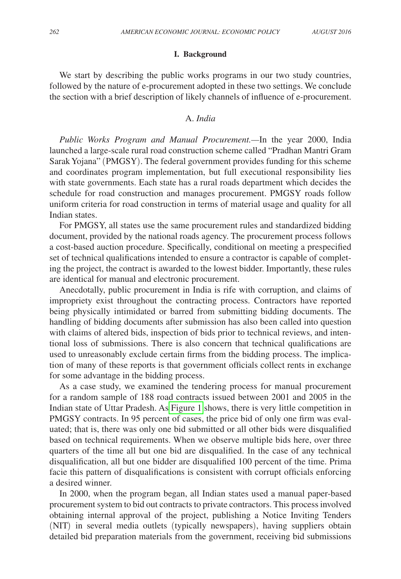#### **I. Background**

We start by describing the public works programs in our two study countries, followed by the nature of e-procurement adopted in these two settings. We conclude the section with a brief description of likely channels of influence of e-procurement.

#### A. *India*

*Public Works Program and Manual Procurement.—*In the year 2000, India launched a large-scale rural road construction scheme called "Pradhan Mantri Gram Sarak Yojana" (PMGSY). The federal government provides funding for this scheme and coordinates program implementation, but full executional responsibility lies with state governments. Each state has a rural roads department which decides the schedule for road construction and manages procurement. PMGSY roads follow uniform criteria for road construction in terms of material usage and quality for all Indian states.

For PMGSY, all states use the same procurement rules and standardized bidding document, provided by the national roads agency. The procurement process follows a cost-based auction procedure. Specifically, conditional on meeting a prespecified set of technical qualifications intended to ensure a contractor is capable of completing the project, the contract is awarded to the lowest bidder. Importantly, these rules are identical for manual and electronic procurement.

Anecdotally, public procurement in India is rife with corruption, and claims of impropriety exist throughout the contracting process. Contractors have reported being physically intimidated or barred from submitting bidding documents. The handling of bidding documents after submission has also been called into question with claims of altered bids, inspection of bids prior to technical reviews, and intentional loss of submissions. There is also concern that technical qualifications are used to unreasonably exclude certain firms from the bidding process. The implication of many of these reports is that government officials collect rents in exchange for some advantage in the bidding process.

As a case study, we examined the tendering process for manual procurement for a random sample of 188 road contracts issued between 2001 and 2005 in the Indian state of Uttar Pradesh. As [Figure 1](#page-5-0) shows, there is very little competition in PMGSY contracts. In 95 percent of cases, the price bid of only one firm was evaluated; that is, there was only one bid submitted or all other bids were disqualified based on technical requirements. When we observe multiple bids here, over three quarters of the time all but one bid are disqualified. In the case of any technical disqualification, all but one bidder are disqualified 100 percent of the time. Prima facie this pattern of disqualifications is consistent with corrupt officials enforcing a desired winner.

In 2000, when the program began, all Indian states used a manual paper-based procurement system to bid out contracts to private contractors. This process involved obtaining internal approval of the project, publishing a Notice Inviting Tenders (NIT) in several media outlets (typically newspapers), having suppliers obtain detailed bid preparation materials from the government, receiving bid submissions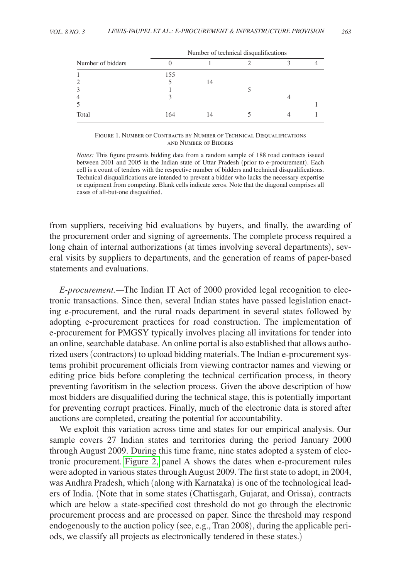<span id="page-5-0"></span>

|                   | Number of technical disqualifications |  |  |  |  |  |  |  |
|-------------------|---------------------------------------|--|--|--|--|--|--|--|
| Number of bidders |                                       |  |  |  |  |  |  |  |
|                   | 155                                   |  |  |  |  |  |  |  |
|                   |                                       |  |  |  |  |  |  |  |
| 3                 |                                       |  |  |  |  |  |  |  |
| $\overline{4}$    |                                       |  |  |  |  |  |  |  |

Number of technical disqualifications

Figure 1. Number of Contracts by Number of Technical Disqualifications and Number of Bidders

 $\sim$  1 Total 164 14 5 4 1

*Notes:* This figure presents bidding data from a random sample of 188 road contracts issued between 2001 and 2005 in the Indian state of Uttar Pradesh (prior to e-procurement). Each cell is a count of tenders with the respective number of bidders and technical disqualifications. Technical disqualifications are intended to prevent a bidder who lacks the necessary expertise or equipment from competing. Blank cells indicate zeros. Note that the diagonal comprises all cases of all-but-one disqualified.

from suppliers, receiving bid evaluations by buyers, and finally, the awarding of the procurement order and signing of agreements. The complete process required a long chain of internal authorizations (at times involving several departments), several visits by suppliers to departments, and the generation of reams of paper-based statements and evaluations.

*E-procurement.—*The Indian IT Act of 2000 provided legal recognition to electronic transactions. Since then, several Indian states have passed legislation enacting e-procurement, and the rural roads department in several states followed by adopting e-procurement practices for road construction. The implementation of e-procurement for PMGSY typically involves placing all invitations for tender into an online, searchable database. An online portal is also established that allows authorized users (contractors) to upload bidding materials. The Indian e-procurement systems prohibit procurement officials from viewing contractor names and viewing or editing price bids before completing the technical certification process, in theory preventing favoritism in the selection process. Given the above description of how most bidders are disqualified during the technical stage, this is potentially important for preventing corrupt practices. Finally, much of the electronic data is stored after auctions are completed, creating the potential for accountability.

We exploit this variation across time and states for our empirical analysis. Our sample covers 27 Indian states and territories during the period January 2000 through August 2009. During this time frame, nine states adopted a system of electronic procurement. [Figure 2,](#page-6-0) panel A shows the dates when e-procurement rules were adopted in various states through August 2009. The first state to adopt, in 2004, was Andhra Pradesh, which (along with Karnataka) is one of the technological leaders of India. (Note that in some states (Chattisgarh, Gujarat, and Orissa), contracts which are below a state-specified cost threshold do not go through the electronic procurement process and are processed on paper. Since the threshold may respond endogenously to the auction policy (see, e.g., Tran 2008), during the applicable periods, we classify all projects as electronically tendered in these states.)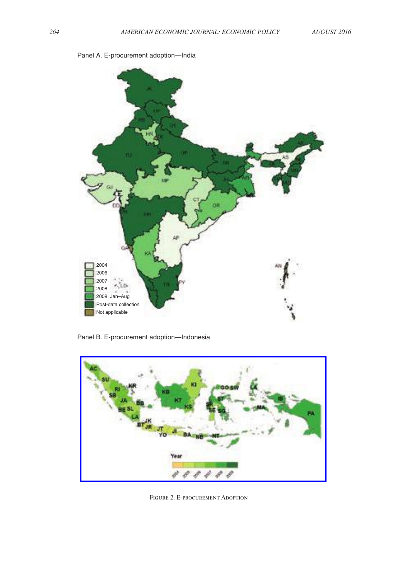<span id="page-6-0"></span>

Panel A. E-procurement adoption—India

Panel B. E-procurement adoption—Indonesia



Figure 2. E-procurement Adoption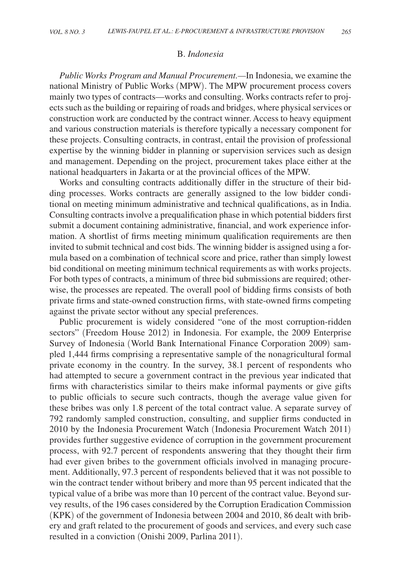## B. *Indonesia*

*Public Works Program and Manual Procurement.—*In Indonesia, we examine the national Ministry of Public Works (MPW). The MPW procurement process covers mainly two types of contracts—works and consulting. Works contracts refer to projects such as the building or repairing of roads and bridges, where physical services or construction work are conducted by the contract winner. Access to heavy equipment and various construction materials is therefore typically a necessary component for these projects. Consulting contracts, in contrast, entail the provision of professional expertise by the winning bidder in planning or supervision services such as design and management. Depending on the project, procurement takes place either at the national headquarters in Jakarta or at the provincial offices of the MPW.

Works and consulting contracts additionally differ in the structure of their bidding processes. Works contracts are generally assigned to the low bidder conditional on meeting minimum administrative and technical qualifications, as in India. Consulting contracts involve a prequalification phase in which potential bidders first submit a document containing administrative, financial, and work experience information. A shortlist of firms meeting minimum qualification requirements are then invited to submit technical and cost bids. The winning bidder is assigned using a formula based on a combination of technical score and price, rather than simply lowest bid conditional on meeting minimum technical requirements as with works projects. For both types of contracts, a minimum of three bid submissions are required; otherwise, the processes are repeated. The overall pool of bidding firms consists of both private firms and state-owned construction firms, with state-owned firms competing against the private sector without any special preferences.

Public procurement is widely considered "one of the most corruption-ridden sectors" (Freedom House 2012) in Indonesia. For example, the 2009 Enterprise Survey of Indonesia (World Bank International Finance Corporation 2009) sampled 1,444 firms comprising a representative sample of the nonagricultural formal private economy in the country. In the survey, 38.1 percent of respondents who had attempted to secure a government contract in the previous year indicated that firms with characteristics similar to theirs make informal payments or give gifts to public officials to secure such contracts, though the average value given for these bribes was only 1.8 percent of the total contract value. A separate survey of 792 randomly sampled construction, consulting, and supplier firms conducted in 2010 by the Indonesia Procurement Watch (Indonesia Procurement Watch 2011) provides further suggestive evidence of corruption in the government procurement process, with 92.7 percent of respondents answering that they thought their firm had ever given bribes to the government officials involved in managing procurement. Additionally, 97.3 percent of respondents believed that it was not possible to win the contract tender without bribery and more than 95 percent indicated that the typical value of a bribe was more than 10 percent of the contract value. Beyond survey results, of the 196 cases considered by the Corruption Eradication Commission (KPK) of the government of Indonesia between 2004 and 2010, 86 dealt with bribery and graft related to the procurement of goods and services, and every such case resulted in a conviction (Onishi 2009, Parlina 2011).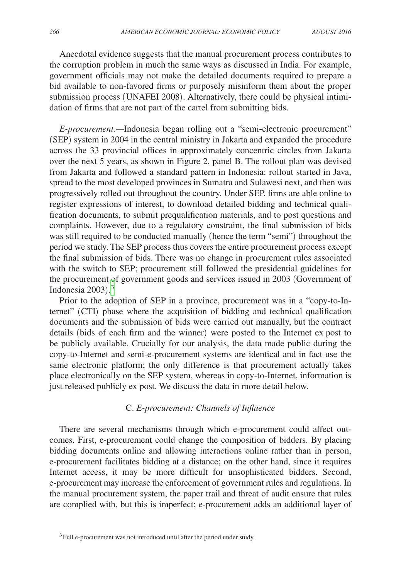Anecdotal evidence suggests that the manual procurement process contributes to the corruption problem in much the same ways as discussed in India. For example, government officials may not make the detailed documents required to prepare a bid available to non-favored firms or purposely misinform them about the proper submission process (UNAFEI 2008). Alternatively, there could be physical intimidation of firms that are not part of the cartel from submitting bids.

*E-procurement.—*Indonesia began rolling out a "semi-electronic procurement" (SEP) system in 2004 in the central ministry in Jakarta and expanded the procedure across the 33 provincial offices in approximately concentric circles from Jakarta over the next 5 years, as shown in Figure 2, panel B. The rollout plan was devised from Jakarta and followed a standard pattern in Indonesia: rollout started in Java, spread to the most developed provinces in Sumatra and Sulawesi next, and then was progressively rolled out throughout the country. Under SEP, firms are able online to register expressions of interest, to download detailed bidding and technical qualification documents, to submit prequalification materials, and to post questions and complaints. However, due to a regulatory constraint, the final submission of bids was still required to be conducted manually (hence the term "semi") throughout the period we study. The SEP process thus covers the entire procurement process except the final submission of bids. There was no change in procurement rules associated with the switch to SEP; procurement still followed the presidential guidelines for the procurement of government goods and services issued in 2003 (Government of Indonesia 2003). [3](#page-8-0)

Prior to the adoption of SEP in a province, procurement was in a "copy-to-Internet" (CTI) phase where the acquisition of bidding and technical qualification documents and the submission of bids were carried out manually, but the contract details (bids of each firm and the winner) were posted to the Internet ex post to be publicly available. Crucially for our analysis, the data made public during the copy-to-Internet and semi-e-procurement systems are identical and in fact use the same electronic platform; the only difference is that procurement actually takes place electronically on the SEP system, whereas in copy-to-Internet, information is just released publicly ex post. We discuss the data in more detail below.

## C. *E-procurement: Channels of Influence*

There are several mechanisms through which e-procurement could affect outcomes. First, e-procurement could change the composition of bidders. By placing bidding documents online and allowing interactions online rather than in person, e-procurement facilitates bidding at a distance; on the other hand, since it requires Internet access, it may be more difficult for unsophisticated bidders. Second, e-procurement may increase the enforcement of government rules and regulations. In the manual procurement system, the paper trail and threat of audit ensure that rules are complied with, but this is imperfect; e-procurement adds an additional layer of

<span id="page-8-0"></span><sup>&</sup>lt;sup>3</sup>Full e-procurement was not introduced until after the period under study.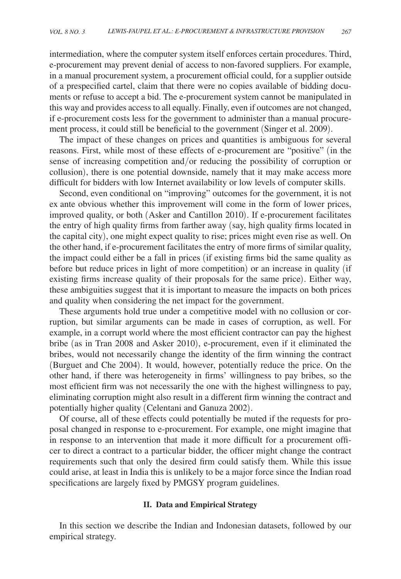intermediation, where the computer system itself enforces certain procedures. Third, e-procurement may prevent denial of access to non-favored suppliers. For example, in a manual procurement system, a procurement official could, for a supplier outside of a prespecified cartel, claim that there were no copies available of bidding documents or refuse to accept a bid. The e-procurement system cannot be manipulated in this way and provides access to all equally. Finally, even if outcomes are not changed, if e-procurement costs less for the government to administer than a manual procurement process, it could still be beneficial to the government (Singer et al. 2009).

The impact of these changes on prices and quantities is ambiguous for several reasons. First, while most of these effects of e-procurement are "positive" (in the sense of increasing competition and/or reducing the possibility of corruption or collusion), there is one potential downside, namely that it may make access more difficult for bidders with low Internet availability or low levels of computer skills.

Second, even conditional on "improving" outcomes for the government, it is not ex ante obvious whether this improvement will come in the form of lower prices, improved quality, or both (Asker and Cantillon 2010). If e-procurement facilitates the entry of high quality firms from farther away (say, high quality firms located in the capital city), one might expect quality to rise; prices might even rise as well. On the other hand, if e-procurement facilitates the entry of more firms of similar quality, the impact could either be a fall in prices (if existing firms bid the same quality as before but reduce prices in light of more competition) or an increase in quality (if existing firms increase quality of their proposals for the same price). Either way, these ambiguities suggest that it is important to measure the impacts on both prices and quality when considering the net impact for the government.

These arguments hold true under a competitive model with no collusion or corruption, but similar arguments can be made in cases of corruption, as well. For example, in a corrupt world where the most efficient contractor can pay the highest bribe (as in Tran 2008 and Asker 2010), e-procurement, even if it eliminated the bribes, would not necessarily change the identity of the firm winning the contract (Burguet and Che 2004). It would, however, potentially reduce the price. On the other hand, if there was heterogeneity in firms' willingness to pay bribes, so the most efficient firm was not necessarily the one with the highest willingness to pay, eliminating corruption might also result in a different firm winning the contract and potentially higher quality (Celentani and Ganuza 2002).

Of course, all of these effects could potentially be muted if the requests for proposal changed in response to e-procurement. For example, one might imagine that in response to an intervention that made it more difficult for a procurement officer to direct a contract to a particular bidder, the officer might change the contract requirements such that only the desired firm could satisfy them. While this issue could arise, at least in India this is unlikely to be a major force since the Indian road specifications are largely fixed by PMGSY program guidelines.

### **II. Data and Empirical Strategy**

In this section we describe the Indian and Indonesian datasets, followed by our empirical strategy.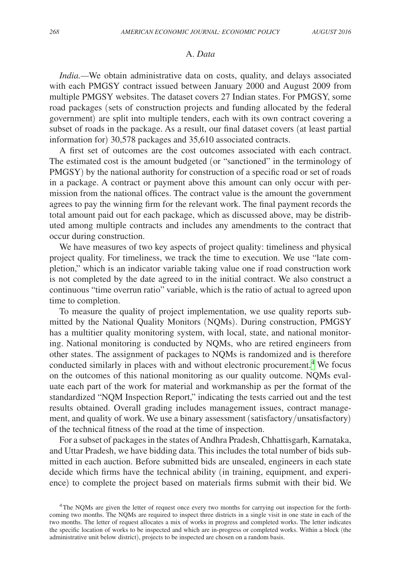## A. *Data*

*India.—*We obtain administrative data on costs, quality, and delays associated with each PMGSY contract issued between January 2000 and August 2009 from multiple PMGSY websites. The dataset covers 27 Indian states. For PMGSY, some road packages (sets of construction projects and funding allocated by the federal government) are split into multiple tenders, each with its own contract covering a subset of roads in the package. As a result, our final dataset covers (at least partial information for) 30,578 packages and 35,610 associated contracts.

A first set of outcomes are the cost outcomes associated with each contract. The estimated cost is the amount budgeted (or "sanctioned" in the terminology of PMGSY) by the national authority for construction of a specific road or set of roads in a package. A contract or payment above this amount can only occur with permission from the national offices. The contract value is the amount the government agrees to pay the winning firm for the relevant work. The final payment records the total amount paid out for each package, which as discussed above, may be distributed among multiple contracts and includes any amendments to the contract that occur during construction.

We have measures of two key aspects of project quality: timeliness and physical project quality. For timeliness, we track the time to execution. We use "late completion," which is an indicator variable taking value one if road construction work is not completed by the date agreed to in the initial contract. We also construct a continuous "time overrun ratio" variable, which is the ratio of actual to agreed upon time to completion.

To measure the quality of project implementation, we use quality reports submitted by the National Quality Monitors (NQMs). During construction, PMGSY has a multitier quality monitoring system, with local, state, and national monitoring. National monitoring is conducted by NQMs, who are retired engineers from other states. The assignment of packages to NQMs is randomized and is therefore conducted similarly in places with and without electronic procurement.<sup>4</sup> We focus on the outcomes of this national monitoring as our quality outcome. NQMs evaluate each part of the work for material and workmanship as per the format of the standardized "NQM Inspection Report," indicating the tests carried out and the test results obtained. Overall grading includes management issues, contract management, and quality of work. We use a binary assessment (satisfactory/unsatisfactory) of the technical fitness of the road at the time of inspection.

For a subset of packages in the states of Andhra Pradesh, Chhattisgarh, Karnataka, and Uttar Pradesh, we have bidding data. This includes the total number of bids submitted in each auction. Before submitted bids are unsealed, engineers in each state decide which firms have the technical ability (in training, equipment, and experience) to complete the project based on materials firms submit with their bid. We

<span id="page-10-0"></span><sup>4</sup>The NQMs are given the letter of request once every two months for carrying out inspection for the forthcoming two months. The NQMs are required to inspect three districts in a single visit in one state in each of the two months. The letter of request allocates a mix of works in progress and completed works. The letter indicates the specific location of works to be inspected and which are in-progress or completed works. Within a block (the administrative unit below district), projects to be inspected are chosen on a random basis.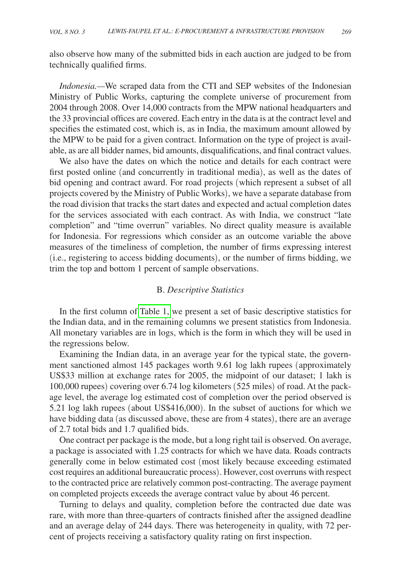also observe how many of the submitted bids in each auction are judged to be from technically qualified firms.

*Indonesia.—*We scraped data from the CTI and SEP websites of the Indonesian Ministry of Public Works, capturing the complete universe of procurement from 2004 through 2008. Over 14,000 contracts from the MPW national headquarters and the 33 provincial offices are covered. Each entry in the data is at the contract level and specifies the estimated cost, which is, as in India, the maximum amount allowed by the MPW to be paid for a given contract. Information on the type of project is available, as are all bidder names, bid amounts, disqualifications, and final contract values.

We also have the dates on which the notice and details for each contract were first posted online (and concurrently in traditional media), as well as the dates of bid opening and contract award. For road projects (which represent a subset of all projects covered by the Ministry of Public Works), we have a separate database from the road division that tracks the start dates and expected and actual completion dates for the services associated with each contract. As with India, we construct "late completion" and "time overrun" variables. No direct quality measure is available for Indonesia. For regressions which consider as an outcome variable the above measures of the timeliness of completion, the number of firms expressing interest (i.e., registering to access bidding documents), or the number of firms bidding, we trim the top and bottom 1 percent of sample observations.

#### B. *Descriptive Statistics*

In the first column of [Table 1,](#page-12-0) we present a set of basic descriptive statistics for the Indian data, and in the remaining columns we present statistics from Indonesia. All monetary variables are in logs, which is the form in which they will be used in the regressions below.

Examining the Indian data, in an average year for the typical state, the government sanctioned almost 145 packages worth 9.61 log lakh rupees (approximately US\$33 million at exchange rates for 2005, the midpoint of our dataset; 1 lakh is 100,000 rupees) covering over 6.74 log kilometers (525 miles) of road. At the package level, the average log estimated cost of completion over the period observed is 5.21 log lakh rupees (about US\$416,000). In the subset of auctions for which we have bidding data (as discussed above, these are from 4 states), there are an average of 2.7 total bids and 1.7 qualified bids.

One contract per package is the mode, but a long right tail is observed. On average, a package is associated with 1.25 contracts for which we have data. Roads contracts generally come in below estimated cost (most likely because exceeding estimated cost requires an additional bureaucratic process). However, cost overruns with respect to the contracted price are relatively common post-contracting. The average payment on completed projects exceeds the average contract value by about 46 percent.

Turning to delays and quality, completion before the contracted due date was rare, with more than three-quarters of contracts finished after the assigned deadline and an average delay of 244 days. There was heterogeneity in quality, with 72 percent of projects receiving a satisfactory quality rating on first inspection.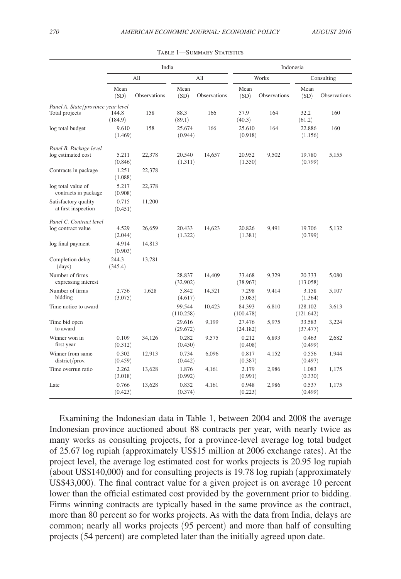<span id="page-12-0"></span>

|                                                      | India            |              |                     |              |                     | Indonesia    |                      |              |  |
|------------------------------------------------------|------------------|--------------|---------------------|--------------|---------------------|--------------|----------------------|--------------|--|
|                                                      |                  | All          |                     | A11          |                     | Works        |                      | Consulting   |  |
|                                                      | Mean<br>(SD)     | Observations | Mean<br>(SD)        | Observations | Mean<br>(SD)        | Observations | Mean<br>(SD)         | Observations |  |
| Panel A. State/province year level<br>Total projects | 144.8<br>(184.9) | 158          | 88.3<br>(89.1)      | 166          | 57.9<br>(40.3)      | 164          | 32.2<br>(61.2)       | 160          |  |
| log total budget                                     | 9.610<br>(1.469) | 158          | 25.674<br>(0.944)   | 166          | 25.610<br>(0.918)   | 164          | 22.886<br>(1.156)    | 160          |  |
| Panel B. Package level<br>log estimated cost         | 5.211<br>(0.846) | 22,378       | 20.540<br>(1.311)   | 14,657       | 20.952<br>(1.350)   | 9.502        | 19.780<br>(0.799)    | 5,155        |  |
| Contracts in package                                 | 1.251<br>(1.088) | 22,378       |                     |              |                     |              |                      |              |  |
| log total value of<br>contracts in package           | 5.217<br>(0.908) | 22,378       |                     |              |                     |              |                      |              |  |
| Satisfactory quality<br>at first inspection          | 0.715<br>(0.451) | 11,200       |                     |              |                     |              |                      |              |  |
| Panel C. Contract level<br>log contract value        | 4.529<br>(2.044) | 26,659       | 20.433<br>(1.322)   | 14,623       | 20.826<br>(1.381)   | 9,491        | 19.706<br>(0.799)    | 5,132        |  |
| log final payment                                    | 4.914<br>(0.903) | 14,813       |                     |              |                     |              |                      |              |  |
| Completion delay<br>(days)                           | 244.3<br>(345.4) | 13,781       |                     |              |                     |              |                      |              |  |
| Number of firms<br>expressing interest               |                  |              | 28.837<br>(32.902)  | 14,409       | 33.468<br>(38.967)  | 9,329        | 20.333<br>(13.058)   | 5,080        |  |
| Number of firms<br>bidding                           | 2.756<br>(3.075) | 1.628        | 5.842<br>(4.617)    | 14,521       | 7.298<br>(5.083)    | 9,414        | 3.158<br>(1.364)     | 5,107        |  |
| Time notice to award                                 |                  |              | 99.544<br>(110.258) | 10.423       | 84.393<br>(100.478) | 6.810        | 128.102<br>(121.642) | 3.613        |  |
| Time bid open<br>to award                            |                  |              | 29.616<br>(29.672)  | 9.199        | 27.476<br>(24.182)  | 5,975        | 33.583<br>(37.477)   | 3,224        |  |
| Winner won in<br>first year                          | 0.109<br>(0.312) | 34,126       | 0.282<br>(0.450)    | 9,575        | 0.212<br>(0.408)    | 6,893        | 0.463<br>(0.499)     | 2,682        |  |
| Winner from same<br>district/prov.                   | 0.302<br>(0.459) | 12,913       | 0.734<br>(0.442)    | 6,096        | 0.817<br>(0.387)    | 4,152        | 0.556<br>(0.497)     | 1,944        |  |
| Time overrun ratio                                   | 2.262<br>(3.018) | 13,628       | 1.876<br>(0.992)    | 4,161        | 2.179<br>(0.991)    | 2,986        | 1.083<br>(0.330)     | 1,175        |  |
| Late                                                 | 0.766<br>(0.423) | 13,628       | 0.832<br>(0.374)    | 4.161        | 0.948<br>(0.223)    | 2,986        | 0.537<br>(0.499)     | 1,175        |  |

Table 1—Summary Statistics

Examining the Indonesian data in Table 1, between 2004 and 2008 the average Indonesian province auctioned about 88 contracts per year, with nearly twice as many works as consulting projects, for a province-level average log total budget of 25.67 log rupiah (approximately US\$15 million at 2006 exchange rates). At the project level, the average log estimated cost for works projects is 20.95 log rupiah (about US\$140,000) and for consulting projects is 19.78 log rupiah (approximately US\$43,000). The final contract value for a given project is on average 10 percent lower than the official estimated cost provided by the government prior to bidding. Firms winning contracts are typically based in the same province as the contract, more than 80 percent so for works projects. As with the data from India, delays are common; nearly all works projects (95 percent) and more than half of consulting projects (54 percent) are completed later than the initially agreed upon date.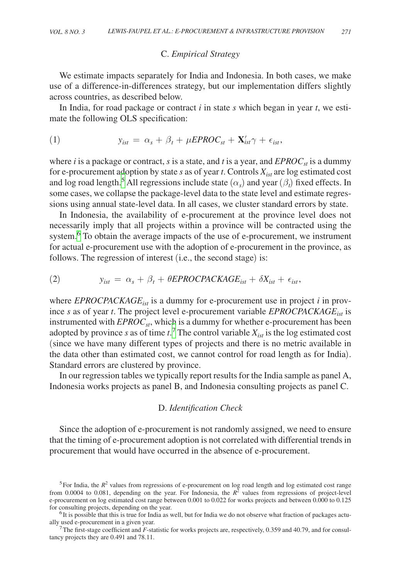#### C. *Empirical Strategy*

We estimate impacts separately for India and Indonesia. In both cases, we make use of a difference-in-differences strategy, but our implementation differs slightly across countries, as described below.

In India, for road package or contract *i* in state *s* which began in year *t*, we estimate the following OLS specification:

(1) 
$$
y_{ist} = \alpha_s + \beta_t + \mu EPROC_{st} + \mathbf{X}'_{ist}\gamma + \epsilon_{ist},
$$

where *i* is a package or contract, *s* is a state, and *t* is a year, and *EPROC*<sub> $st$ </sub> is a dummy for e-procurement adoption by state  $s$  as of year  $t$ . Controls  $X_{ist}$  are log estimated cost and log road length.<sup>[5](#page-13-0)</sup> All regressions include state  $(\alpha_s)$  and year  $(\beta_t)$  fixed effects. In some cases, we collapse the package-level data to the state level and estimate regressions using annual state-level data. In all cases, we cluster standard errors by state.

In Indonesia, the availability of e-procurement at the province level does not necessarily imply that all projects within a province will be contracted using the system.<sup>6</sup> To obtain the average impacts of the use of e-procurement, we instrument for actual e-procurement use with the adoption of e-procurement in the province, as follows. The regression of interest (i.e., the second stage) is:

(2) 
$$
y_{ist} = \alpha_s + \beta_t + \theta EPROCPACKAGE_{ist} + \delta X_{ist} + \epsilon_{ist},
$$

where *EPROCPACKAGE*<sub>ist</sub> is a dummy for e-procurement use in project *i* in province *s* as of year *t*. The project level e-procurement variable *EPROCPACKAGEist* is instrumented with  $EPROC_{st}$ , which is a dummy for whether e-procurement has been adopted by province *s* as of time  $t$ .<sup>[7](#page-13-2)</sup> The control variable  $X_{ist}$  is the log estimated cost (since we have many different types of projects and there is no metric available in the data other than estimated cost, we cannot control for road length as for India). Standard errors are clustered by province.

In our regression tables we typically report results for the India sample as panel A, Indonesia works projects as panel B, and Indonesia consulting projects as panel C.

#### D. *Identification Check*

Since the adoption of e-procurement is not randomly assigned, we need to ensure that the timing of e-procurement adoption is not correlated with differential trends in procurement that would have occurred in the absence of e-procurement.

<span id="page-13-0"></span><sup>&</sup>lt;sup>5</sup>For India, the  $R^2$  values from regressions of e-procurement on log road length and log estimated cost range from 0.0004 to 0.081, depending on the year. For Indonesia, the  $R^2$  values from regressions of project-level e-procurement on log estimated cost range between 0.001 to 0.022 for works projects and between 0.000 to 0.125 for consulting projects, depending on the year.

<span id="page-13-1"></span><sup>&</sup>lt;sup>6</sup>It is possible that this is true for India as well, but for India we do not observe what fraction of packages actually used e-procurement in a given year.<br><sup>7</sup>The first-stage coefficient and *F*-statistic for works projects are, respectively, 0.359 and 40.79, and for consul-

<span id="page-13-2"></span>tancy projects they are 0.491 and 78.11.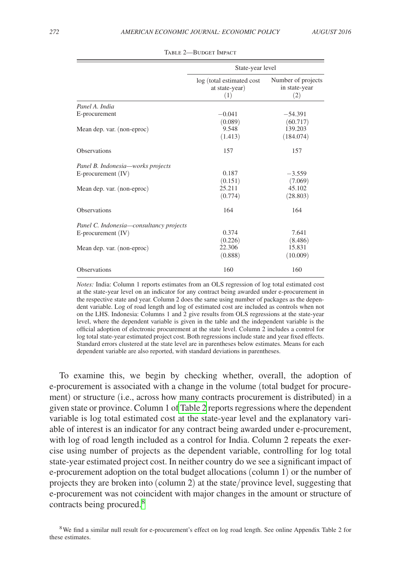|                                         | State-year level                                   |                                            |  |  |  |
|-----------------------------------------|----------------------------------------------------|--------------------------------------------|--|--|--|
|                                         | log (total estimated cost<br>at state-year)<br>(1) | Number of projects<br>in state-year<br>(2) |  |  |  |
| Panel A. India                          |                                                    |                                            |  |  |  |
| E-procurement                           | $-0.041$                                           | $-54.391$                                  |  |  |  |
| Mean dep. var. (non-eproc)              | (0.089)<br>9.548                                   | (60.717)<br>139.203                        |  |  |  |
|                                         | (1.413)                                            | (184.074)                                  |  |  |  |
| <b>Observations</b>                     | 157                                                | 157                                        |  |  |  |
| Panel B. Indonesia—works projects       |                                                    |                                            |  |  |  |
| $E$ -procurement $(IV)$                 | 0.187                                              | $-3.559$                                   |  |  |  |
|                                         | (0.151)                                            | (7.069)                                    |  |  |  |
| Mean dep. var. (non-eproc)              | 25.211                                             | 45.102                                     |  |  |  |
|                                         | (0.774)                                            | (28.803)                                   |  |  |  |
| <b>Observations</b>                     | 164                                                | 164                                        |  |  |  |
| Panel C. Indonesia—consultancy projects |                                                    |                                            |  |  |  |
| $E$ -procurement $(IV)$                 | 0.374                                              | 7.641                                      |  |  |  |
|                                         | (0.226)                                            | (8.486)                                    |  |  |  |
| Mean dep. var. (non-eproc)              | 22.306                                             | 15.831                                     |  |  |  |
|                                         | (0.888)                                            | (10.009)                                   |  |  |  |
| <b>Observations</b>                     | 160                                                | 160                                        |  |  |  |

TABLE 2-BUDGET IMPACT

To examine this, we begin by checking whether, overall, the adoption of e-procurement is associated with a change in the volume (total budget for procurement) or structure (i.e., across how many contracts procurement is distributed) in a given state or province. Column 1 of Table 2 reports regressions where the dependent variable is log total estimated cost at the state-year level and the explanatory variable of interest is an indicator for any contract being awarded under e-procurement, with log of road length included as a control for India. Column 2 repeats the exercise using number of projects as the dependent variable, controlling for log total state-year estimated project cost. In neither country do we see a significant impact of e-procurement adoption on the total budget allocations (column 1) or the number of projects they are broken into (column 2) at the state/province level, suggesting that e-procurement was not coincident with major changes in the amount or structure of contracts being procured[.8](#page-14-0)

*Notes:* India: Column 1 reports estimates from an OLS regression of log total estimated cost at the state-year level on an indicator for any contract being awarded under e-procurement in the respective state and year. Column 2 does the same using number of packages as the dependent variable. Log of road length and log of estimated cost are included as controls when not on the LHS. Indonesia: Columns 1 and 2 give results from OLS regressions at the state-year level, where the dependent variable is given in the table and the independent variable is the official adoption of electronic procurement at the state level. Column 2 includes a control for log total state-year estimated project cost. Both regressions include state and year fixed effects. Standard errors clustered at the state level are in parentheses below estimates. Means for each dependent variable are also reported, with standard deviations in parentheses.

<span id="page-14-0"></span><sup>8</sup>We find a similar null result for e-procurement's effect on log road length. See online Appendix Table 2 for these estimates.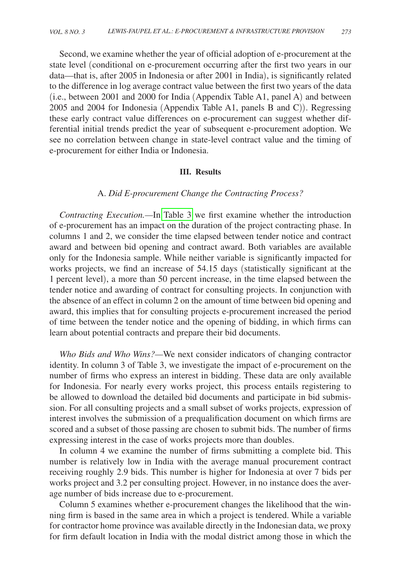Second, we examine whether the year of official adoption of e-procurement at the state level (conditional on e-procurement occurring after the first two years in our data—that is, after 2005 in Indonesia or after 2001 in India), is significantly related to the difference in log average contract value between the first two years of the data (i.e., between 2001 and 2000 for India (Appendix Table A1, panel A) and between 2005 and 2004 for Indonesia (Appendix Table A1, panels B and C)). Regressing these early contract value differences on e-procurement can suggest whether differential initial trends predict the year of subsequent e-procurement adoption. We see no correlation between change in state-level contract value and the timing of e-procurement for either India or Indonesia.

#### **III. Results**

#### A. *Did E-procurement Change the Contracting Process?*

*Contracting Execution.—*In [Table 3](#page-16-0) we first examine whether the introduction of e-procurement has an impact on the duration of the project contracting phase. In columns 1 and 2, we consider the time elapsed between tender notice and contract award and between bid opening and contract award. Both variables are available only for the Indonesia sample. While neither variable is significantly impacted for works projects, we find an increase of 54.15 days (statistically significant at the 1 percent level), a more than 50 percent increase, in the time elapsed between the tender notice and awarding of contract for consulting projects. In conjunction with the absence of an effect in column 2 on the amount of time between bid opening and award, this implies that for consulting projects e-procurement increased the period of time between the tender notice and the opening of bidding, in which firms can learn about potential contracts and prepare their bid documents.

*Who Bids and Who Wins?—*We next consider indicators of changing contractor identity. In column 3 of Table 3, we investigate the impact of e-procurement on the number of firms who express an interest in bidding. These data are only available for Indonesia. For nearly every works project, this process entails registering to be allowed to download the detailed bid documents and participate in bid submission. For all consulting projects and a small subset of works projects, expression of interest involves the submission of a prequalification document on which firms are scored and a subset of those passing are chosen to submit bids. The number of firms expressing interest in the case of works projects more than doubles.

In column 4 we examine the number of firms submitting a complete bid. This number is relatively low in India with the average manual procurement contract receiving roughly 2.9 bids. This number is higher for Indonesia at over 7 bids per works project and 3.2 per consulting project. However, in no instance does the average number of bids increase due to e-procurement.

Column 5 examines whether e-procurement changes the likelihood that the winning firm is based in the same area in which a project is tendered. While a variable for contractor home province was available directly in the Indonesian data, we proxy for firm default location in India with the modal district among those in which the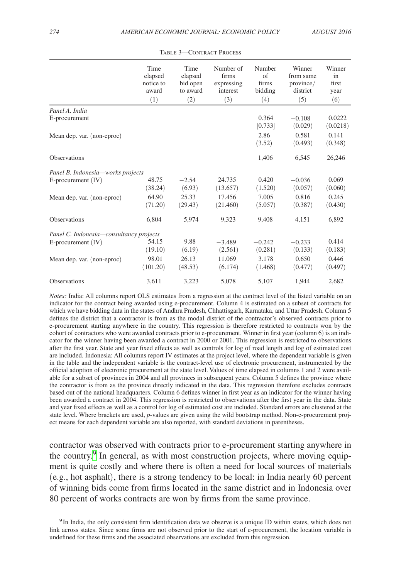<span id="page-16-0"></span>

|                                         | Time<br>elapsed<br>notice to<br>award<br>(1) | Time<br>elapsed<br>bid open<br>to award<br>(2) | Number of<br>firms<br>expressing<br>interest<br>(3) | Number<br>of<br>firms<br>bidding<br>(4) | Winner<br>from same<br>province/<br>district<br>(5) | Winner<br>in<br>first<br>year<br>(6) |
|-----------------------------------------|----------------------------------------------|------------------------------------------------|-----------------------------------------------------|-----------------------------------------|-----------------------------------------------------|--------------------------------------|
| Panel A. India<br>E-procurement         |                                              |                                                |                                                     | 0.364<br>[0.733]                        | $-0.108$<br>(0.029)                                 | 0.0222<br>(0.0218)                   |
| Mean dep. var. (non-eproc)              |                                              |                                                |                                                     | 2.86<br>(3.52)                          | 0.581<br>(0.493)                                    | 0.141<br>(0.348)                     |
| <b>Observations</b>                     |                                              |                                                |                                                     | 1,406                                   | 6,545                                               | 26,246                               |
| Panel B. Indonesia—works projects       |                                              |                                                |                                                     |                                         |                                                     |                                      |
| $E$ -procurement $(IV)$                 | 48.75<br>(38.24)                             | $-2.54$<br>(6.93)                              | 24.735<br>(13.657)                                  | 0.420<br>(1.520)                        | $-0.036$<br>(0.057)                                 | 0.069<br>(0.060)                     |
| Mean dep. var. (non-eproc)              | 64.90<br>(71.20)                             | 25.33<br>(29.43)                               | 17.456<br>(21.460)                                  | 7.005<br>(5.057)                        | 0.816<br>(0.387)                                    | 0.245<br>(0.430)                     |
| <b>Observations</b>                     | 6,804                                        | 5,974                                          | 9,323                                               | 9,408                                   | 4,151                                               | 6,892                                |
| Panel C. Indonesia-consultancy projects |                                              |                                                |                                                     |                                         |                                                     |                                      |
| $E$ -procurement $(IV)$                 | 54.15<br>(19.10)                             | 9.88<br>(6.19)                                 | $-3.489$<br>(2.561)                                 | $-0.242$<br>(0.281)                     | $-0.233$<br>(0.133)                                 | 0.414<br>(0.183)                     |
| Mean dep. var. (non-eproc)              | 98.01<br>(101.20)                            | 26.13<br>(48.53)                               | 11.069<br>(6.174)                                   | 3.178<br>(1.468)                        | 0.650<br>(0.477)                                    | 0.446<br>(0.497)                     |
| <b>Observations</b>                     | 3,611                                        | 3,223                                          | 5,078                                               | 5,107                                   | 1,944                                               | 2,682                                |

Table 3—Contract Process

*Notes:* India: All columns report OLS estimates from a regression at the contract level of the listed variable on an indicator for the contract being awarded using e-procurement. Column 4 is estimated on a subset of contracts for which we have bidding data in the states of Andhra Pradesh, Chhattisgarh, Karnataka, and Uttar Pradesh. Column 5 defines the district that a contractor is from as the modal district of the contractor's observed contracts prior to e-procurement starting anywhere in the country. This regression is therefore restricted to contracts won by the cohort of contractors who were awarded contracts prior to e-procurement. Winner in first year (column 6) is an indicator for the winner having been awarded a contract in 2000 or 2001. This regression is restricted to observations after the first year. State and year fixed effects as well as controls for log of road length and log of estimated cost are included. Indonesia: All columns report IV estimates at the project level, where the dependent variable is given in the table and the independent variable is the contract-level use of electronic procurement, instrumented by the official adoption of electronic procurement at the state level. Values of time elapsed in columns 1 and 2 were available for a subset of provinces in 2004 and all provinces in subsequent years. Column 5 defines the province where the contractor is from as the province directly indicated in the data. This regression therefore excludes contracts based out of the national headquarters. Column 6 defines winner in first year as an indicator for the winner having been awarded a contract in 2004. This regression is restricted to observations after the first year in the data. State and year fixed effects as well as a control for log of estimated cost are included. Standard errors are clustered at the state level. Where brackets are used, *p*-values are given using the wild bootstrap method. Non-e-procurement project means for each dependent variable are also reported, with standard deviations in parentheses.

contractor was observed with contracts prior to e-procurement starting anywhere in the country.<sup>[9](#page-16-1)</sup> In general, as with most construction projects, where moving equipment is quite costly and where there is often a need for local sources of materials (e.g., hot asphalt), there is a strong tendency to be local: in India nearly 60 percent of winning bids come from firms located in the same district and in Indonesia over 80 percent of works contracts are won by firms from the same province.

<span id="page-16-1"></span>9In India, the only consistent firm identification data we observe is a unique ID within states, which does not link across states. Since some firms are not observed prior to the start of e-procurement, the location variable is undefined for these firms and the associated observations are excluded from this regression.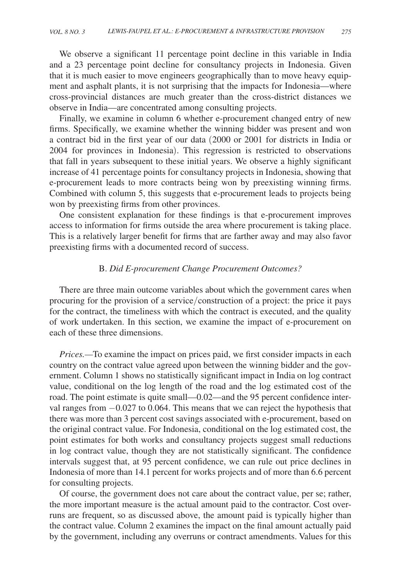We observe a significant 11 percentage point decline in this variable in India and a 23 percentage point decline for consultancy projects in Indonesia. Given that it is much easier to move engineers geographically than to move heavy equipment and asphalt plants, it is not surprising that the impacts for Indonesia—where cross-provincial distances are much greater than the cross-district distances we observe in India—are concentrated among consulting projects.

Finally, we examine in column 6 whether e-procurement changed entry of new firms. Specifically, we examine whether the winning bidder was present and won a contract bid in the first year of our data (2000 or 2001 for districts in India or 2004 for provinces in Indonesia). This regression is restricted to observations that fall in years subsequent to these initial years. We observe a highly significant increase of 41 percentage points for consultancy projects in Indonesia, showing that e-procurement leads to more contracts being won by preexisting winning firms. Combined with column 5, this suggests that e-procurement leads to projects being won by preexisting firms from other provinces.

One consistent explanation for these findings is that e-procurement improves access to information for firms outside the area where procurement is taking place. This is a relatively larger benefit for firms that are farther away and may also favor preexisting firms with a documented record of success.

#### B. *Did E-procurement Change Procurement Outcomes?*

There are three main outcome variables about which the government cares when procuring for the provision of a service/construction of a project: the price it pays for the contract, the timeliness with which the contract is executed, and the quality of work undertaken. In this section, we examine the impact of e-procurement on each of these three dimensions.

*Prices.—*To examine the impact on prices paid, we first consider impacts in each country on the contract value agreed upon between the winning bidder and the government. Column 1 shows no statistically significant impact in India on log contract value, conditional on the log length of the road and the log estimated cost of the road. The point estimate is quite small—0.02—and the 95 percent confidence interval ranges from −0.027 to 0.064. This means that we can reject the hypothesis that there was more than 3 percent cost savings associated with e-procurement, based on the original contract value. For Indonesia, conditional on the log estimated cost, the point estimates for both works and consultancy projects suggest small reductions in log contract value, though they are not statistically significant. The confidence intervals suggest that, at 95 percent confidence, we can rule out price declines in Indonesia of more than 14.1 percent for works projects and of more than 6.6 percent for consulting projects.

Of course, the government does not care about the contract value, per se; rather, the more important measure is the actual amount paid to the contractor. Cost overruns are frequent, so as discussed above, the amount paid is typically higher than the contract value. Column 2 examines the impact on the final amount actually paid by the government, including any overruns or contract amendments. Values for this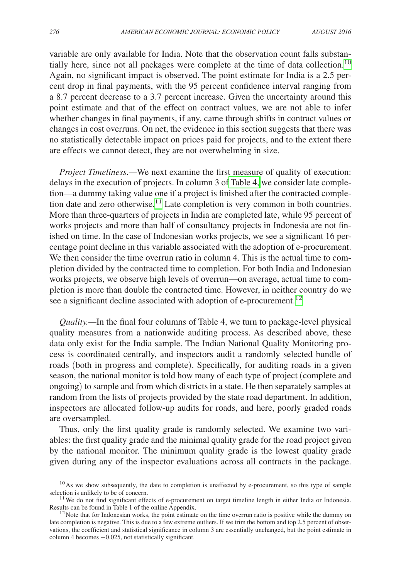variable are only available for India. Note that the observation count falls substan-tially here, since not all packages were complete at the time of data collection.<sup>[10](#page-18-0)</sup> Again, no significant impact is observed. The point estimate for India is a 2.5 percent drop in final payments, with the 95 percent confidence interval ranging from a 8.7 percent decrease to a 3.7 percent increase. Given the uncertainty around this point estimate and that of the effect on contract values, we are not able to infer whether changes in final payments, if any, came through shifts in contract values or changes in cost overruns. On net, the evidence in this section suggests that there was no statistically detectable impact on prices paid for projects, and to the extent there are effects we cannot detect, they are not overwhelming in size.

*Project Timeliness.—*We next examine the first measure of quality of execution: delays in the execution of projects. In column 3 of [Table 4,](#page-19-0) we consider late completion—a dummy taking value one if a project is finished after the contracted completion date and zero otherwise.<sup>11</sup> Late completion is very common in both countries. More than three-quarters of projects in India are completed late, while 95 percent of works projects and more than half of consultancy projects in Indonesia are not finished on time. In the case of Indonesian works projects, we see a significant 16 percentage point decline in this variable associated with the adoption of e-procurement. We then consider the time overrun ratio in column 4. This is the actual time to completion divided by the contracted time to completion. For both India and Indonesian works projects, we observe high levels of overrun—on average, actual time to completion is more than double the contracted time. However, in neither country do we see a significant decline associated with adoption of e-procurement.<sup>[12](#page-18-2)</sup>

*Quality.—*In the final four columns of Table 4, we turn to package-level physical quality measures from a nationwide auditing process. As described above, these data only exist for the India sample. The Indian National Quality Monitoring process is coordinated centrally, and inspectors audit a randomly selected bundle of roads (both in progress and complete). Specifically, for auditing roads in a given season, the national monitor is told how many of each type of project (complete and ongoing) to sample and from which districts in a state. He then separately samples at random from the lists of projects provided by the state road department. In addition, inspectors are allocated follow-up audits for roads, and here, poorly graded roads are oversampled.

Thus, only the first quality grade is randomly selected. We examine two variables: the first quality grade and the minimal quality grade for the road project given by the national monitor. The minimum quality grade is the lowest quality grade given during any of the inspector evaluations across all contracts in the package.

<span id="page-18-0"></span> $10$ As we show subsequently, the date to completion is unaffected by e-procurement, so this type of sample selection is unlikely to be of concern.

<span id="page-18-1"></span><sup>&</sup>lt;sup>11</sup> We do not find significant effects of e-procurement on target timeline length in either India or Indonesia. Results can be found in Table 1 of the online Appendix.

<span id="page-18-2"></span> $12$  Note that for Indonesian works, the point estimate on the time overrun ratio is positive while the dummy on late completion is negative. This is due to a few extreme outliers. If we trim the bottom and top 2.5 percent of observations, the coefficient and statistical significance in column 3 are essentially unchanged, but the point estimate in column 4 becomes −0.025, not statistically significant.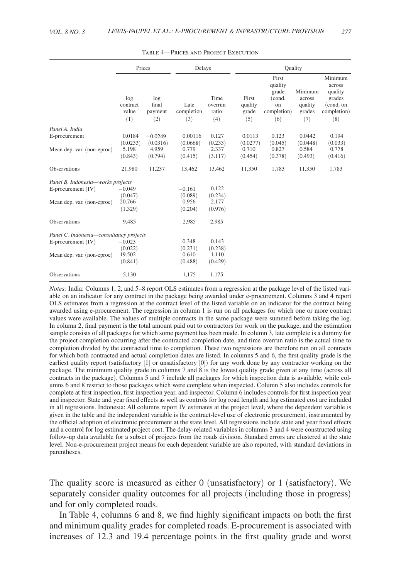<span id="page-19-0"></span>

|                                         | Prices                          |                                |                           | Delays                          |                                  | <b>Quality</b>                                                                  |                                               |                                                                           |  |
|-----------------------------------------|---------------------------------|--------------------------------|---------------------------|---------------------------------|----------------------------------|---------------------------------------------------------------------------------|-----------------------------------------------|---------------------------------------------------------------------------|--|
|                                         | log<br>contract<br>value<br>(1) | log<br>final<br>payment<br>(2) | Late<br>completion<br>(3) | Time<br>overrun<br>ratio<br>(4) | First<br>quality<br>grade<br>(5) | <b>First</b><br>quality<br>grade<br>(cond.<br>$_{\rm on}$<br>completion)<br>(6) | Minimum<br>across<br>quality<br>grades<br>(7) | Minimum<br>across<br>quality<br>grades<br>(cond. on<br>completion)<br>(8) |  |
| Panel A. India                          |                                 |                                |                           |                                 |                                  |                                                                                 |                                               |                                                                           |  |
| E-procurement                           | 0.0184<br>(0.0233)              | $-0.0249$<br>(0.0316)          | 0.00116<br>(0.0668)       | 0.127<br>(0.233)                | 0.0113<br>(0.0277)               | 0.123<br>(0.045)                                                                | 0.0442<br>(0.0448)                            | 0.194<br>(0.033)                                                          |  |
| Mean dep. var. (non-eproc)              | 5.198<br>(0.843)                | 4.959<br>(0.794)               | 0.779<br>(0.415)          | 2.337<br>(3.117)                | 0.710<br>(0.454)                 | 0.827<br>(0.378)                                                                | 0.584<br>(0.493)                              | 0.778<br>(0.416)                                                          |  |
| <b>Observations</b>                     | 21,980                          | 11,237                         | 13,462                    | 13,462                          | 11,350                           | 1,783                                                                           | 11,350                                        | 1,783                                                                     |  |
| Panel B. Indonesia-works projects       |                                 |                                |                           |                                 |                                  |                                                                                 |                                               |                                                                           |  |
| E-procurement (IV)                      | $-0.049$<br>(0.047)             |                                | $-0.161$<br>(0.089)       | 0.122<br>(0.234)                |                                  |                                                                                 |                                               |                                                                           |  |
| Mean dep. var. (non-eproc)              | 20.766<br>(1.329)               |                                | 0.956<br>(0.204)          | 2.177<br>(0.976)                |                                  |                                                                                 |                                               |                                                                           |  |
| <b>Observations</b>                     | 9,485                           |                                | 2,985                     | 2,985                           |                                  |                                                                                 |                                               |                                                                           |  |
| Panel C. Indonesia-consultancy projects |                                 |                                |                           |                                 |                                  |                                                                                 |                                               |                                                                           |  |
| $E$ -procurement $(IV)$                 | $-0.023$<br>(0.022)             |                                | 0.348<br>(0.231)          | 0.143<br>(0.238)                |                                  |                                                                                 |                                               |                                                                           |  |
| Mean dep. var. (non-eproc)              | 19.502<br>(0.841)               |                                | 0.610<br>(0.488)          | 1.110<br>(0.429)                |                                  |                                                                                 |                                               |                                                                           |  |
| <b>Observations</b>                     | 5,130                           |                                | 1.175                     | 1,175                           |                                  |                                                                                 |                                               |                                                                           |  |

Table 4—Prices and Project Execution

*Notes:* India: Columns 1, 2, and 5–8 report OLS estimates from a regression at the package level of the listed variable on an indicator for any contract in the package being awarded under e-procurement. Columns 3 and 4 report OLS estimates from a regression at the contract level of the listed variable on an indicator for the contract being awarded using e-procurement. The regression in column 1 is run on all packages for which one or more contract values were available. The values of multiple contracts in the same package were summed before taking the log. In column 2, final payment is the total amount paid out to contractors for work on the package, and the estimation sample consists of all packages for which some payment has been made. In column 3, late complete is a dummy for the project completion occurring after the contracted completion date, and time overrun ratio is the actual time to completion divided by the contracted time to completion. These two regressions are therefore run on all contracts for which both contracted and actual completion dates are listed. In columns 5 and 6, the first quality grade is the earliest quality report (satisfactory [1] or unsatisfactory [0]) for any work done by any contractor working on the package. The minimum quality grade in columns 7 and 8 is the lowest quality grade given at any time (across all contracts in the package). Columns 5 and 7 include all packages for which inspection data is available, while columns 6 and 8 restrict to those packages which were complete when inspected. Column 5 also includes controls for complete at first inspection, first inspection year, and inspector. Column 6 includes controls for first inspection year and inspector. State and year fixed effects as well as controls for log road length and log estimated cost are included in all regressions. Indonesia: All columns report IV estimates at the project level, where the dependent variable is given in the table and the independent variable is the contract-level use of electronic procurement, instrumented by the official adoption of electronic procurement at the state level. All regressions include state and year fixed effects and a control for log estimated project cost. The delay-related variables in columns 3 and 4 were constructed using follow-up data available for a subset of projects from the roads division. Standard errors are clustered at the state level. Non-e-procurement project means for each dependent variable are also reported, with standard deviations in parentheses.

The quality score is measured as either 0 (unsatisfactory) or 1 (satisfactory). We separately consider quality outcomes for all projects (including those in progress) and for only completed roads.

In Table 4, columns 6 and 8, we find highly significant impacts on both the first and minimum quality grades for completed roads. E-procurement is associated with increases of 12.3 and 19.4 percentage points in the first quality grade and worst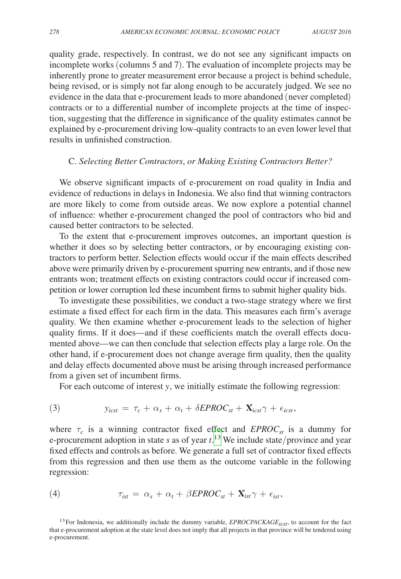quality grade, respectively. In contrast, we do not see any significant impacts on incomplete works (columns 5 and 7). The evaluation of incomplete projects may be inherently prone to greater measurement error because a project is behind schedule, being revised, or is simply not far along enough to be accurately judged. We see no evidence in the data that e-procurement leads to more abandoned (never completed) contracts or to a differential number of incomplete projects at the time of inspection, suggesting that the difference in significance of the quality estimates cannot be explained by e-procurement driving low-quality contracts to an even lower level that results in unfinished construction.

## C. *Selecting Better Contractors*, *or Making Existing Contractors Better?*

We observe significant impacts of e-procurement on road quality in India and evidence of reductions in delays in Indonesia. We also find that winning contractors are more likely to come from outside areas. We now explore a potential channel of influence: whether e-procurement changed the pool of contractors who bid and caused better contractors to be selected.

To the extent that e-procurement improves outcomes, an important question is whether it does so by selecting better contractors, or by encouraging existing contractors to perform better. Selection effects would occur if the main effects described above were primarily driven by e-procurement spurring new entrants, and if those new entrants won; treatment effects on existing contractors could occur if increased competition or lower corruption led these incumbent firms to submit higher quality bids.

To investigate these possibilities, we conduct a two-stage strategy where we first estimate a fixed effect for each firm in the data. This measures each firm's average quality. We then examine whether e-procurement leads to the selection of higher quality firms. If it does—and if these coefficients match the overall effects documented above—we can then conclude that selection effects play a large role. On the other hand, if e-procurement does not change average firm quality, then the quality and delay effects documented above must be arising through increased performance from a given set of incumbent firms.

For each outcome of interest *y*, we initially estimate the following regression:

(3) 
$$
y_{icst} = \tau_c + \alpha_s + \alpha_t + \delta EPROC_{st} + \mathbf{X}_{icst} \gamma + \epsilon_{icst},
$$

where  $\tau_c$  is a winning contractor fixed effect and  $EPROC_{st}$  is a dummy for e-procurement adoption in state *s* as of year *t*. [13](#page-20-0) We include state/province and year fixed effects and controls as before. We generate a full set of contractor fixed effects from this regression and then use them as the outcome variable in the following regression:

(4) 
$$
\tau_{ist} = \alpha_s + \alpha_t + \beta EPROC_{st} + \mathbf{X}_{ist}\gamma + \epsilon_{ist},
$$

<span id="page-20-0"></span><sup>13</sup>For Indonesia, we additionally include the dummy variable, *EPROCPACKAGE<sub>icst</sub>*, to account for the fact that e-procurement adoption at the state level does not imply that all projects in that province will be tendered using e-procurement.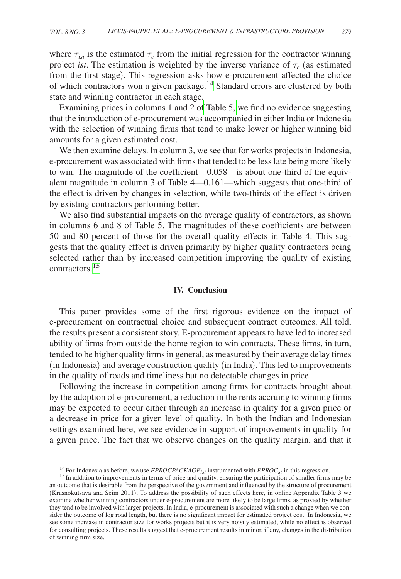where  $\tau_{ist}$  is the estimated  $\tau_c$  from the initial regression for the contractor winning project *ist*. The estimation is weighted by the inverse variance of  $\tau_c$  (as estimated from the first stage). This regression asks how e-procurement affected the choice of which contractors won a given package[.14](#page-21-0) Standard errors are clustered by both state and winning contractor in each stage.

Examining prices in columns 1 and 2 o[f Table 5,](#page-22-0) we find no evidence suggesting that the introduction of e-procurement was accompanied in either India or Indonesia with the selection of winning firms that tend to make lower or higher winning bid amounts for a given estimated cost.

We then examine delays. In column 3, we see that for works projects in Indonesia, e-procurement was associated with firms that tended to be less late being more likely to win. The magnitude of the coefficient—0.058—is about one-third of the equivalent magnitude in column 3 of Table 4—0.161—which suggests that one-third of the effect is driven by changes in selection, while two-thirds of the effect is driven by existing contractors performing better.

We also find substantial impacts on the average quality of contractors, as shown in columns 6 and 8 of Table 5. The magnitudes of these coefficients are between 50 and 80 percent of those for the overall quality effects in Table 4. This suggests that the quality effect is driven primarily by higher quality contractors being selected rather than by increased competition improving the quality of existing contractors.[15](#page-21-1)

#### **IV. Conclusion**

This paper provides some of the first rigorous evidence on the impact of e-procurement on contractual choice and subsequent contract outcomes. All told, the results present a consistent story. E-procurement appears to have led to increased ability of firms from outside the home region to win contracts. These firms, in turn, tended to be higher quality firms in general, as measured by their average delay times (in Indonesia) and average construction quality (in India). This led to improvements in the quality of roads and timeliness but no detectable changes in price.

Following the increase in competition among firms for contracts brought about by the adoption of e-procurement, a reduction in the rents accruing to winning firms may be expected to occur either through an increase in quality for a given price or a decrease in price for a given level of quality. In both the Indian and Indonesian settings examined here, we see evidence in support of improvements in quality for a given price. The fact that we observe changes on the quality margin, and that it

<span id="page-21-1"></span><span id="page-21-0"></span>

<sup>&</sup>lt;sup>14</sup>For Indonesia as before, we use *EPROCPACKAGE<sub>ist</sub>* instrumented with *EPROC<sub>st</sub>* in this regression. <sup>15</sup>In addition to improvements in terms of price and quality, ensuring the participation of smaller firms may be an outcome that is desirable from the perspective of the government and influenced by the structure of procurement (Krasnokutsaya and Seim 2011). To address the possibility of such effects here, in online Appendix Table 3 we examine whether winning contractors under e-procurement are more likely to be large firms, as proxied by whether they tend to be involved with larger projects. In India, e-procurement is associated with such a change when we consider the outcome of log road length, but there is no significant impact for estimated project cost. In Indonesia, we see some increase in contractor size for works projects but it is very noisily estimated, while no effect is observed for consulting projects. These results suggest that e-procurement results in minor, if any, changes in the distribution of winning firm size.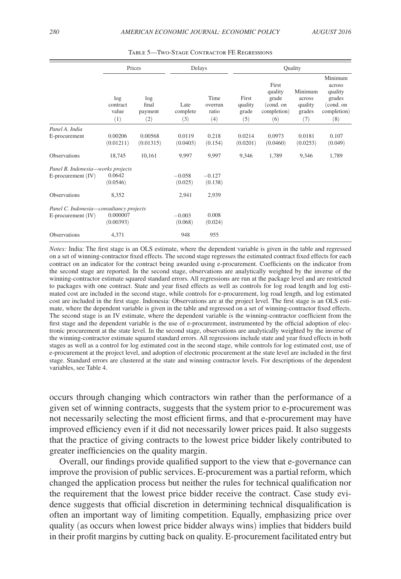<span id="page-22-0"></span>

|                                         | Prices                          |                                | Delays                  |                                 | Quality                          |                                                              |                                               |                                                                           |
|-----------------------------------------|---------------------------------|--------------------------------|-------------------------|---------------------------------|----------------------------------|--------------------------------------------------------------|-----------------------------------------------|---------------------------------------------------------------------------|
|                                         | log<br>contract<br>value<br>(1) | log<br>final<br>payment<br>(2) | Late<br>complete<br>(3) | Time<br>overrun<br>ratio<br>(4) | First<br>quality<br>grade<br>(5) | First<br>quality<br>grade<br>(cond. on<br>completion)<br>(6) | Minimum<br>across<br>quality<br>grades<br>(7) | Minimum<br>across<br>quality<br>grades<br>(cond. on<br>completion)<br>(8) |
| Panel A. India                          |                                 |                                |                         |                                 |                                  |                                                              |                                               |                                                                           |
| E-procurement                           | 0.00206<br>(0.01211)            | 0.00568<br>(0.01315)           | 0.0119<br>(0.0403)      | 0.218<br>(0.154)                | 0.0214<br>(0.0201)               | 0.0973<br>(0.0460)                                           | 0.0181<br>(0.0253)                            | 0.107<br>(0.049)                                                          |
| Observations                            | 18,745                          | 10,161                         | 9,997                   | 9,997                           | 9,346                            | 1,789                                                        | 9,346                                         | 1,789                                                                     |
| Panel B. Indonesia-works projects       |                                 |                                |                         |                                 |                                  |                                                              |                                               |                                                                           |
| E-procurement (IV)                      | 0.0642<br>(0.0546)              |                                | $-0.058$<br>(0.025)     | $-0.127$<br>(0.138)             |                                  |                                                              |                                               |                                                                           |
| Observations                            | 8,352                           |                                | 2,941                   | 2,939                           |                                  |                                                              |                                               |                                                                           |
| Panel C. Indonesia-consultancy projects |                                 |                                |                         |                                 |                                  |                                                              |                                               |                                                                           |
| E-procurement (IV)                      | 0.000007<br>(0.00393)           |                                | $-0.003$<br>(0.068)     | 0.008<br>(0.024)                |                                  |                                                              |                                               |                                                                           |
| <b>Observations</b>                     | 4,371                           |                                | 948                     | 955                             |                                  |                                                              |                                               |                                                                           |

Table 5—Two-Stage Contractor FE Regressions

*Notes:* India: The first stage is an OLS estimate, where the dependent variable is given in the table and regressed on a set of winning-contractor fixed effects. The second stage regresses the estimated contract fixed effects for each contract on an indicator for the contract being awarded using e-procurement. Coefficients on the indicator from the second stage are reported. In the second stage, observations are analytically weighted by the inverse of the winning-contractor estimate squared standard errors. All regressions are run at the package level and are restricted to packages with one contract. State and year fixed effects as well as controls for log road length and log estimated cost are included in the second stage, while controls for e-procurement, log road length, and log estimated cost are included in the first stage. Indonesia: Observations are at the project level. The first stage is an OLS estimate, where the dependent variable is given in the table and regressed on a set of winning-contractor fixed effects. The second stage is an IV estimate, where the dependent variable is the winning-contractor coefficient from the first stage and the dependent variable is the use of e-procurement, instrumented by the official adoption of electronic procurement at the state level. In the second stage, observations are analytically weighted by the inverse of the winning-contractor estimate squared standard errors. All regressions include state and year fixed effects in both stages as well as a control for log estimated cost in the second stage, while controls for log estimated cost, use of e-procurement at the project level, and adoption of electronic procurement at the state level are included in the first stage. Standard errors are clustered at the state and winning contractor levels. For descriptions of the dependent variables, see Table 4.

occurs through changing which contractors win rather than the performance of a given set of winning contracts, suggests that the system prior to e-procurement was not necessarily selecting the most efficient firms, and that e-procurement may have improved efficiency even if it did not necessarily lower prices paid. It also suggests that the practice of giving contracts to the lowest price bidder likely contributed to greater inefficiencies on the quality margin.

Overall, our findings provide qualified support to the view that e-governance can improve the provision of public services. E-procurement was a partial reform, which changed the application process but neither the rules for technical qualification nor the requirement that the lowest price bidder receive the contract. Case study evidence suggests that official discretion in determining technical disqualification is often an important way of limiting competition. Equally, emphasizing price over quality (as occurs when lowest price bidder always wins) implies that bidders build in their profit margins by cutting back on quality. E-procurement facilitated entry but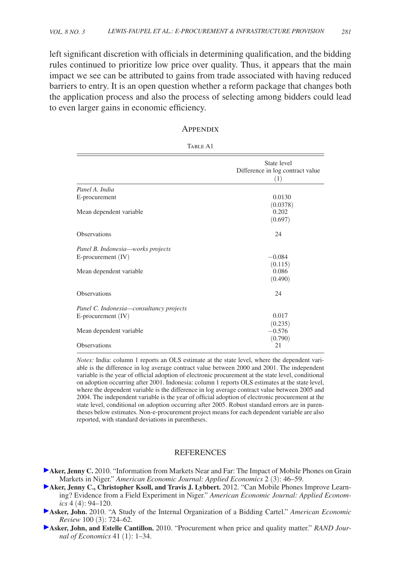left significant discretion with officials in determining qualification, and the bidding rules continued to prioritize low price over quality. Thus, it appears that the main impact we see can be attributed to gains from trade associated with having reduced barriers to entry. It is an open question whether a reform package that changes both the application process and also the process of selecting among bidders could lead to even larger gains in economic efficiency.

#### **APPENDIX**

| - |
|---|
|---|

|                                         | State level<br>Difference in log contract value<br>(1) |
|-----------------------------------------|--------------------------------------------------------|
|                                         |                                                        |
| Panel A. India                          |                                                        |
| E-procurement                           | 0.0130                                                 |
|                                         | (0.0378)                                               |
| Mean dependent variable                 | 0.202                                                  |
|                                         | (0.697)                                                |
| Observations                            | 24                                                     |
| Panel B. Indonesia-works projects       |                                                        |
| $E$ -procurement $(IV)$                 | $-0.084$                                               |
|                                         | (0.115)                                                |
| Mean dependent variable                 | 0.086                                                  |
|                                         | (0.490)                                                |
| <b>Observations</b>                     | 24                                                     |
| Panel C. Indonesia-consultancy projects |                                                        |
| $E$ -procurement $(IV)$                 | 0.017                                                  |
|                                         | (0.235)                                                |
| Mean dependent variable                 | $-0.576$                                               |
|                                         | (0.790)                                                |
| <b>Observations</b>                     | 21                                                     |
|                                         |                                                        |

*Notes:* India: column 1 reports an OLS estimate at the state level, where the dependent variable is the difference in log average contract value between 2000 and 2001. The independent variable is the year of official adoption of electronic procurement at the state level, conditional on adoption occurring after 2001. Indonesia: column 1 reports OLS estimates at the state level, where the dependent variable is the difference in log average contract value between 2005 and 2004. The independent variable is the year of official adoption of electronic procurement at the state level, conditional on adoption occurring after 2005. Robust standard errors are in parentheses below estimates. Non-e-procurement project means for each dependent variable are also reported, with standard deviations in parentheses.

#### REFERENCES

- **Aker, Jenny C.** 2010. "Information from Markets Near and Far: The Impact of Mobile Phones on Grain Markets in Niger." *American Economic Journal: Applied Economics* 2 (3): 46–59.
- **Aker, Jenny C., Christopher Ksoll, and Travis J. Lybbert.** 2012. "Can Mobile Phones Improve Learning? Evidence from a Field Experiment in Niger." *American Economic Journal: Applied Economics* 4 (4): 94–120.
- **Asker, John.** 2010. "A Study of the Internal Organization of a Bidding Cartel." *American Economic Review* 100 (3): 724–62.
- **Asker, John, and Estelle Cantillon.** 2010. "Procurement when price and quality matter." *RAND Journal of Economics* 41 (1): 1–34.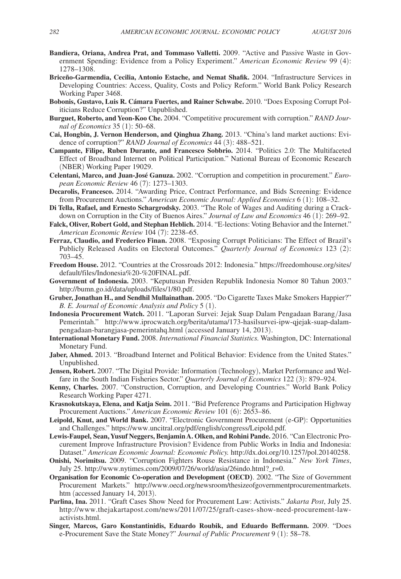- **Bandiera, Oriana, Andrea Prat, and Tommaso Valletti.** 2009. "Active and Passive Waste in Government Spending: Evidence from a Policy Experiment." *American Economic Review* 99 (4): 1278–1308.
- **Briceño-Garmendia, Cecilia, Antonio Estache, and Nemat Shafik.** 2004. "Infrastructure Services in Developing Countries: Access, Quality, Costs and Policy Reform." World Bank Policy Research Working Paper 3468.
- **Bobonis, Gustavo, Luis R. Cámara Fuertes, and Rainer Schwabe.** 2010. "Does Exposing Corrupt Politicians Reduce Corruption?" Unpublished.
- **Burguet, Roberto, and Yeon-Koo Che.** 2004. "Competitive procurement with corruption." *RAND Journal of Economics* 35 (1): 50–68.
- **Cai, Hongbin, J. Vernon Henderson, and Qinghua Zhang.** 2013. "China's land market auctions: Evidence of corruption?" *RAND Journal of Economics* 44 (3): 488–521.
- **Campante, Filipe, Ruben Durante, and Francesco Sobbrio.** 2014. "Politics 2.0: The Multifaceted Effect of Broadband Internet on Political Participation." National Bureau of Economic Research (NBER) Working Paper 19029.
- **Celentani, Marco, and Juan-José Ganuza.** 2002. "Corruption and competition in procurement." *European Economic Review* 46 (7): 1273–1303.
- **Decarolis, Francesco.** 2014. "Awarding Price, Contract Performance, and Bids Screening: Evidence from Procurement Auctions." *American Economic Journal: Applied Economics* 6 (1): 108–32.
- **Di Tella, Rafael, and Ernesto Schargrodsky.** 2003. "The Role of Wages and Auditing during a Crackdown on Corruption in the City of Buenos Aires." *Journal of Law and Economics* 46 (1): 269–92.
- **Falck, Oliver, Robert Gold, and Stephan Heblich.** 2014. "E-lections: Voting Behavior and the Internet." *American Economic Review* 104 (7): 2238–65.
- **Ferraz, Claudio, and Frederico Finan.** 2008. "Exposing Corrupt Politicians: The Effect of Brazil's Publicly Released Audits on Electoral Outcomes." *Quarterly Journal of Economics* 123 (2): 703–45.
- **Freedom House.** 2012. "Countries at the Crossroads 2012: Indonesia." [https://freedomhouse.org/sites/](https://freedomhouse.org/sites/default/files/Indonesia) [default/files/Indonesia](https://freedomhouse.org/sites/default/files/Indonesia)%20-[%20FINAL.pdf](20FINAL.pdf).
- **Government of Indonesia.** 2003. "Keputusan Presiden Republik Indonesia Nomor 80 Tahun 2003." <http://bumn.go.id/data/uploads/files/1/80.pdf>.
- **Gruber, Jonathan H., and Sendhil Mullainathan.** 2005. "Do Cigarette Taxes Make Smokers Happier?" *B. E. Journal of Economic Analysis and Policy* 5 (1).
- **Indonesia Procurement Watch.** 2011. "Laporan Survei: Jejak Suap Dalam Pengadaan Barang/Jasa Pemerintah." [http://www.iprocwatch.org/berita/utama/173-hasilsurvei-ipw-qjejak-suap-dalam](http://www.iprocwatch.org/berita/utama/173-hasilsurvei-ipw-qjejak-suap-dalam-pengadaan-barangjasa-pemerintahq.html)[pengadaan-barangjasa-pemerintahq.html](http://www.iprocwatch.org/berita/utama/173-hasilsurvei-ipw-qjejak-suap-dalam-pengadaan-barangjasa-pemerintahq.html) (accessed January 14, 2013).
- **International Monetary Fund.** 2008. *International Financial Statistics.* Washington, DC: International Monetary Fund.
- **Jaber, Ahmed.** 2013. "Broadband Internet and Political Behavior: Evidence from the United States." Unpublished.
- **Jensen, Robert.** 2007. "The Digital Provide: Information (Technology), Market Performance and Welfare in the South Indian Fisheries Sector." *Quarterly Journal of Economics* 122 (3): 879–924.
- **Kenny, Charles.** 2007. "Construction, Corruption, and Developing Countries." World Bank Policy Research Working Paper 4271.
- **Krasnokutskaya, Elena, and Katja Seim.** 2011. "Bid Preference Programs and Participation Highway Procurement Auctions." *American Economic Review* 101 (6): 2653–86.
- **Leipold, Knut, and World Bank.** 2007. "Electronic Government Procurement (e-GP): Opportunities and Challenges."<https://www.uncitral.org/pdf/english/congress/Leipold.pdf>*.*
- **Lewis-Faupel, Sean, Yusuf Neggers, Benjamin A. Olken, and Rohini Pande.** 2016. "Can Electronic Procurement Improve Infrastructure Provision? Evidence from Public Works in India and Indonesia: Dataset." *American Economic Journal: Economic Policy.* <http://dx.doi.org/10.1257/pol.20140258>.
- **Onishi, Norimitsu.** 2009. "Corruption Fighters Rouse Resistance in Indonesia." *New York Times*, July 25. [http://www.nytimes.com/2009/07/26/world/asia/26indo.html?\\_r=0.](http://www.nytimes.com/2009/07/26/world/asia/26indo.html?_r=0.)
- **Organisation for Economic Co-operation and Development (OECD)**. 2002. "The Size of Government Procurement Markets." [http://www.oecd.org/newsroom/thesizeofgovernmentprocurementmarkets.](http://www.oecd.org/newsroom/thesizeofgovernmentprocurementmarkets.htm) [htm](http://www.oecd.org/newsroom/thesizeofgovernmentprocurementmarkets.htm) (accessed January 14, 2013).
- **Parlina, Ina.** 2011. "Graft Cases Show Need for Procurement Law: Activists." *Jakarta Post*, July 25. [http://www.thejakartapost.com/news/2011/07/25/graft-cases-show-need-procurement-law](http://www.thejakartapost.com/news/2011/07/25/graft-cases-show-need-procurement-law-activists.html)[activists.html](http://www.thejakartapost.com/news/2011/07/25/graft-cases-show-need-procurement-law-activists.html).
- **Singer, Marcos, Garo Konstantinidis, Eduardo Roubik, and Eduardo Beffermann.** 2009. "Does e-Procurement Save the State Money?" *Journal of Public Procurement* 9 (1): 58–78.